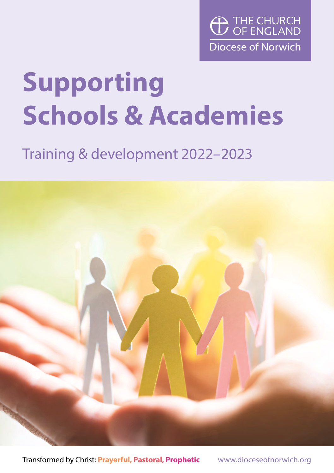

## **Supporting Schools & Academies**

## Training & development 2022–2023



Transformed by Christ: **Prayerful, Pastoral, Prophetic** www.dioceseofnorwich.org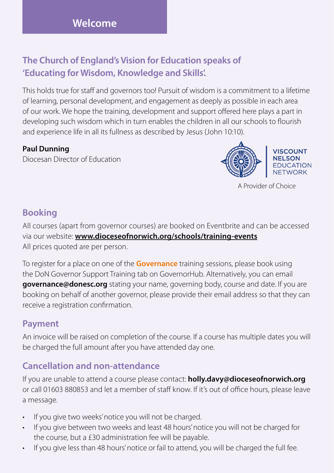#### **The Church of England's Vision for Education speaks of 'Educating for Wisdom, Knowledge and Skills'.**

This holds true for staff and governors too! Pursuit of wisdom is a commitment to a lifetime of learning, personal development, and engagement as deeply as possible in each area of our work. We hope the training, development and support offered here plays a part in developing such wisdom which in turn enables the children in all our schools to flourish and experience life in all its fullness as described by Jesus (John 10:10).

#### **Paul Dunning**

Diocesan Director of Education



A Provider of Choice

#### **Booking**

All courses (apart from governor courses) are booked on Eventbrite and can be accessed via our website: **[www.dioceseofnorwich.org/schools/training-events](http://www.dioceseofnorwich.org/schools/training-events)** All prices quoted are per person.

To register for a place on one of the **Governance** training sessions, please book using the DoN Governor Support Training tab on GovernorHub. Alternatively, you can email **governance@donesc.org** stating your name, governing body, course and date. If you are booking on behalf of another governor, please provide their email address so that they can receive a registration confirmation.

#### **Payment**

An invoice will be raised on completion of the course. If a course has multiple dates you will be charged the full amount after you have attended day one.

#### **Cancellation and non-attendance**

If you are unable to attend a course please contact: **[holly.davy@dioceseofnorwich.org](mailto:holly.davy%40dioceseofnorwich.org?subject=)** or call 01603 880853 and let a member of staff know. If it's out of office hours, please leave a message.

- If you give two weeks' notice you will not be charged.
- If you give between two weeks and least 48 hours' notice you will not be charged for the course, but a £30 administration fee will be payable.
- If you give less than 48 hours' notice or fail to attend, you will be charged the full fee.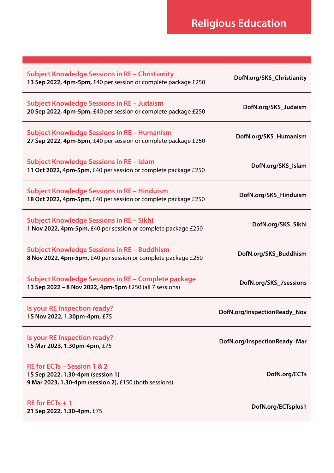| <b>Subject Knowledge Sessions in RE - Christianity</b><br>13 Sep 2022, 4pm-5pm, £40 per session or complete package £250   | DofN.org/SKS_Christianity    |
|----------------------------------------------------------------------------------------------------------------------------|------------------------------|
| <b>Subject Knowledge Sessions in RE - Judaism</b><br>20 Sep 2022, 4pm-5pm, £40 per session or complete package £250        | DofN.org/SKS_Judaism         |
| <b>Subject Knowledge Sessions in RE - Humanism</b><br>27 Sep 2022, 4pm-5pm, £40 per session or complete package £250       | DofN.org/SKS_Humanism        |
| <b>Subject Knowledge Sessions in RE - Islam</b><br>11 Oct 2022, 4pm-5pm, £40 per session or complete package £250          | DofN.org/SKS_Islam           |
| <b>Subject Knowledge Sessions in RE - Hinduism</b><br>18 Oct 2022, 4pm-5pm, £40 per session or complete package £250       | DofN.org/SKS_Hinduism        |
| <b>Subject Knowledge Sessions in RE - Sikhi</b><br>1 Nov 2022, 4pm-5pm, £40 per session or complete package £250           | DofN.org/SKS_Sikhi           |
| Subject Knowledge Sessions in RE - Buddhism<br>8 Nov 2022, 4pm-5pm, £40 per session or complete package £250               | DofN.org/SKS_Buddhism        |
| Subject Knowledge Sessions in RE - Complete package<br>13 Sep 2022 - 8 Nov 2022, 4pm-5pm £250 (all 7 sessions)             | DofN.org/SKS_7 sessions      |
| Is your RE Inspection ready?<br>15 Nov 2022, 1.30pm-4pm, £75                                                               | DofN.org/InspectionReady_Nov |
| Is your RE Inspection ready?<br>15 Mar 2023, 1.30pm-4pm, £75                                                               | DofN.org/InspectionReady_Mar |
| RE for ECTs - Session 1 & 2<br>15 Sep 2022, 1.30-4pm (session 1)<br>9 Mar 2023, 1.30-4pm (session 2), £150 (both sessions) | DofN.org/ECTs                |
| $RE$ for $ECTs + 1$<br>21 Sep 2022, 1.30-4pm, £75                                                                          | DofN.org/ECTsplus1           |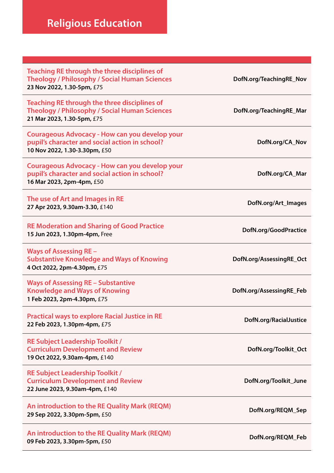### **Religious Education**

| Teaching RE through the three disciplines of<br><b>Theology / Philosophy / Social Human Sciences</b><br>23 Nov 2022, 1.30-5pm, £75 | DofN.org/TeachingRE_Nov  |
|------------------------------------------------------------------------------------------------------------------------------------|--------------------------|
| Teaching RE through the three disciplines of<br><b>Theology / Philosophy / Social Human Sciences</b><br>21 Mar 2023, 1.30-5pm, £75 | DofN.org/TeachingRE_Mar  |
| Courageous Advocacy - How can you develop your<br>pupil's character and social action in school?<br>10 Nov 2022, 1.30-3.30pm, £50  | DofN.org/CA_Nov          |
| Courageous Advocacy - How can you develop your<br>pupil's character and social action in school?<br>16 Mar 2023, 2pm-4pm, £50      | DofN.org/CA_Mar          |
| The use of Art and Images in RE<br>27 Apr 2023, 9.30am-3.30, £140                                                                  | DofN.org/Art_Images      |
| <b>RE Moderation and Sharing of Good Practice</b><br>15 Jun 2023, 1.30pm-4pm, Free                                                 | DofN.org/GoodPractice    |
| Ways of Assessing RE –<br><b>Substantive Knowledge and Ways of Knowing</b><br>4 Oct 2022, 2pm-4.30pm, £75                          | DofN.org/AssessingRE_Oct |
| <b>Ways of Assessing RE - Substantive</b><br><b>Knowledge and Ways of Knowing</b><br>1 Feb 2023, 2pm-4.30pm, £75                   | DofN.org/AssessingRE_Feb |
| <b>Practical ways to explore Racial Justice in RE</b><br>22 Feb 2023, 1.30pm-4pm, £75                                              | DofN.org/RacialJustice   |
| RE Subject Leadership Toolkit /<br><b>Curriculum Development and Review</b><br>19 Oct 2022, 9.30am-4pm, £140                       | DofN.org/Toolkit_Oct     |
| <b>RE Subject Leadership Toolkit /</b><br><b>Curriculum Development and Review</b><br>22 June 2023, 9.30am-4pm, £140               | DofN.org/Toolkit_June    |
| An introduction to the RE Quality Mark (REQM)<br>29 Sep 2022, 3.30pm-5pm, £50                                                      | DofN.org/REQM_Sep        |
| An introduction to the RE Quality Mark (REQM)<br>09 Feb 2023, 3.30pm-5pm, £50                                                      | DofN.org/REQM_Feb        |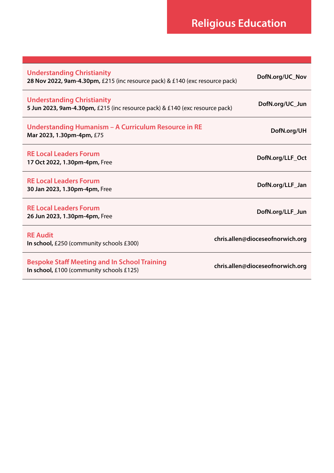## **Religious Education**

| <b>Understanding Christianity</b><br>28 Nov 2022, 9am-4.30pm, £215 (inc resource pack) & £140 (exc resource pack) | DofN.org/UC_Nov                  |
|-------------------------------------------------------------------------------------------------------------------|----------------------------------|
| <b>Understanding Christianity</b><br>5 Jun 2023, 9am-4.30pm, £215 (inc resource pack) & £140 (exc resource pack)  | DofN.org/UC Jun                  |
| Understanding Humanism – A Curriculum Resource in RE<br>Mar 2023, 1.30pm-4pm, £75                                 | DofN.org/UH                      |
| <b>RE Local Leaders Forum</b><br>17 Oct 2022, 1.30pm-4pm, Free                                                    | DofN.org/LLF_Oct                 |
| <b>RE Local Leaders Forum</b><br>30 Jan 2023, 1.30pm-4pm, Free                                                    | DofN.org/LLF Jan                 |
| <b>RE Local Leaders Forum</b><br>26 Jun 2023, 1.30pm-4pm, Free                                                    | DofN.org/LLF Jun                 |
| <b>RE Audit</b><br>In school, £250 (community schools £300)                                                       | chris.allen@dioceseofnorwich.org |
| <b>Bespoke Staff Meeting and In School Training</b><br>In school, £100 (community schools £125)                   | chris.allen@dioceseofnorwich.org |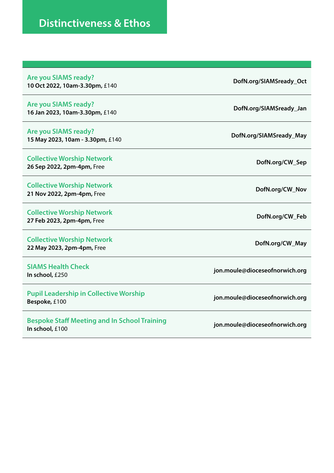| <b>Are you SIAMS ready?</b><br>10 Oct 2022, 10am-3.30pm, £140          | DofN.org/SIAMSready_Oct        |
|------------------------------------------------------------------------|--------------------------------|
| Are you SIAMS ready?<br>16 Jan 2023, 10am-3.30pm, £140                 | DofN.org/SIAMSready_Jan        |
| <b>Are you SIAMS ready?</b><br>15 May 2023, 10am - 3.30pm, £140        | DofN.org/SIAMSready_May        |
| <b>Collective Worship Network</b><br>26 Sep 2022, 2pm-4pm, Free        | DofN.org/CW_Sep                |
| <b>Collective Worship Network</b><br>21 Nov 2022, 2pm-4pm, Free        | DofN.org/CW_Nov                |
| <b>Collective Worship Network</b><br>27 Feb 2023, 2pm-4pm, Free        | DofN.org/CW_Feb                |
| <b>Collective Worship Network</b><br>22 May 2023, 2pm-4pm, Free        | DofN.org/CW_May                |
| <b>SIAMS Health Check</b><br>In school, £250                           | jon.moule@dioceseofnorwich.org |
| <b>Pupil Leadership in Collective Worship</b><br>Bespoke, £100         | jon.moule@dioceseofnorwich.org |
| <b>Bespoke Staff Meeting and In School Training</b><br>In school, £100 | jon.moule@dioceseofnorwich.org |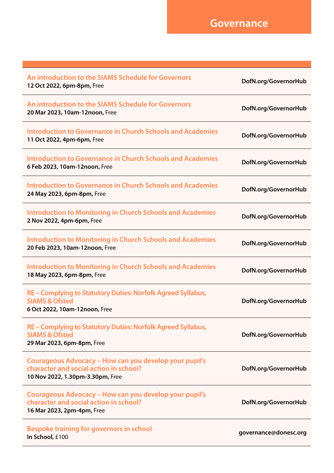| An introduction to the SIAMS Schedule for Governors<br>12 Oct 2022, 6pm-8pm, Free                                                    | DofN.org/GovernorHub  |
|--------------------------------------------------------------------------------------------------------------------------------------|-----------------------|
| An introduction to the SIAMS Schedule for Governors<br>20 Mar 2023, 10am-12noon, Free                                                | DofN.org/GovernorHub  |
| <b>Introduction to Governance in Church Schools and Academies</b><br>11 Oct 2022, 4pm-6pm, Free                                      | DofN.org/GovernorHub  |
| <b>Introduction to Governance in Church Schools and Academies</b><br>6 Feb 2023, 10am-12noon, Free                                   | DofN.org/GovernorHub  |
| <b>Introduction to Governance in Church Schools and Academies</b><br>24 May 2023, 6pm-8pm, Free                                      | DofN.org/GovernorHub  |
| <b>Introduction to Monitoring in Church Schools and Academies</b><br>2 Nov 2022, 4pm-6pm, Free                                       | DofN.org/GovernorHub  |
| <b>Introduction to Monitoring in Church Schools and Academies</b><br>20 Feb 2023, 10am-12noon, Free                                  | DofN.org/GovernorHub  |
| <b>Introduction to Monitoring in Church Schools and Academies</b><br>18 May 2023, 6pm-8pm, Free                                      | DofN.org/GovernorHub  |
| RE - Complying to Statutory Duties: Norfolk Agreed Syllabus,<br><b>SIAMS &amp; Ofsted</b><br>6 Oct 2022, 10am-12noon, Free           | DofN.org/GovernorHub  |
| RE - Complying to Statutory Duties: Norfolk Agreed Syllabus,<br><b>SIAMS &amp; Ofsted</b><br>29 Mar 2023, 6pm-8pm, Free              | DofN.org/GovernorHub  |
| Courageous Advocacy - How can you develop your pupil's<br>character and social action in school?<br>10 Nov 2022, 1.30pm-3.30pm, Free | DofN.org/GovernorHub  |
| Courageous Advocacy - How can you develop your pupil's<br>character and social action in school?<br>16 Mar 2023, 2pm-4pm, Free       | DofN.org/GovernorHub  |
| Bespoke training for governors in school<br>In School, £100                                                                          | governance@donesc.org |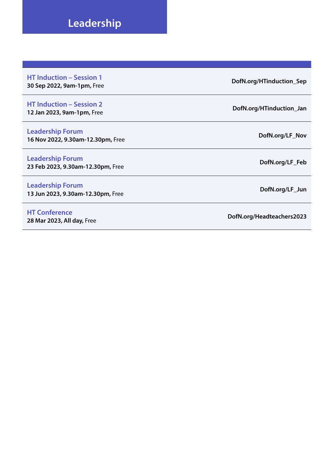#### **Leadership**

**HT Induction – Session 1 30 Sep 2022, 9am-1pm,** Free **[DofN.org/HTinduction\\_Sep](http://DofN.org/HTinduction_Sep)**

#### **HT Induction – Session 2**

**Leadership Forum 16 Nov 2022, 9.30am-12.30pm,** Free **[DofN.org/LF\\_Nov](http://DofN.org/LF_Nov)**

**Leadership Forum 23 Feb 2023, 9.30am-12.30pm,** Free **[DofN.org/LF\\_Feb](http://DofN.org/LF_Feb)**

**Leadership Forum 13 Jun 2023, 9.30am-12.30pm,** Free **[DofN.org/LF\\_Jun](http://DofN.org/LF_Jun)**

**HT Conference**

**12 Jan 2023, 9am-1pm,** Free **[DofN.org/HTinduction\\_Jan](http://DofN.org/HTinduction_Jan)**

**28 Mar 2023, All day,** Free **[DofN.org/Headteachers2023](http://DofN.org/Headteachers2023)**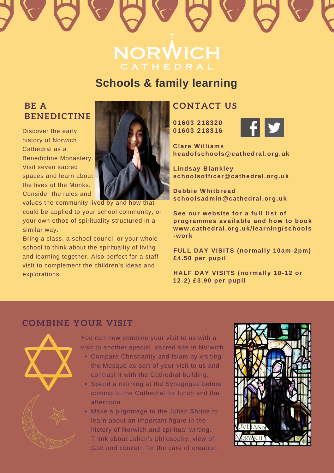# **NORWICH**

## **Schools & family learning Schools & family learning**

#### **BE A BE A BENEDICTINE BENEDICTINE**

**Discover the early history of Norwich** Cathedral as a Cathedral as a Benedictine Monastery. Visit seven sacred spaces and learn about the lives of the Monks. Consider the rules and



values the community lived by and how that could be applied to your school community, or your own ethos of spirituality structured in a similar way.

Bring a class, a school council or your whole school to think about the spirituality of living and learning together. Also perfect for a staff visit to complement the children's ideas and explorations.

#### **CONTACT US CONTACT US**

**01603 218320 01603 218320 01603 218316** 



**Clare Williams Clare Williams 01603 218320 headofschools@cathedral.org.uk headofschools@cathedral.org.uk 01603 218316**

**Lindsay Blankley Lindsay Blankley Clare Williams schoolsofficer@cathedral.org.uk schoolsofficer@cathedral.org.uk headofschools@cathedral.org.uk**

**Debbie Whitbread Debbie Whitbread schoolsadmin@cathedral.org.uk schoolsadmin@cathedral.org.uk Lindsay Blankley schoolsofficer@cathedral.org.uk**

**See our website for a full list of See our website for a full list of programmes available** and **how** to book **www.cathedral.org.uk/learning/schools www.cathedral.org.uk/learning/schools schoolsadmin@cathedral.org.uk -work -work SEE our<sub>cin</sub>cy <b>full** *list list***</del> <b>***list list***</del> <b>***list* 

**FULL DAY VISITS (normally 10am-2pm) FULL DAY VISITS (normally 10am-2pm) programmes available and how to book £4.50 per pupil £4.50 per pupil www.cathedral.org.uk/learning-schools**<br>Cathedral.org.uk **-work**

**HALF DAY VISITS (normally 10-12 or HALF DAY VISITS (normally 10-12 or 12-2) £3.90 per pupil £4.50 per pupil**

**HALF DAY VISITS (normally 10-12 or**

#### **COMBINE YOUR VISIT COMBINE YOUR VISIT**



explorations.

the Mosque as part of the Mosque as part of the Mosque and the  $\alpha$ visit to another special, sacred site in Norwich. You can now combine your visit to us with a

- Compare Christianity and Islam by visiting the Mosque as part of your visit to us and contrast it with the Cathedral building.
- Spend a morning at the Synagogue before coming to the Cathedral for lunch and the history of Norwich and spiritual writing. afternoon.  $\mathbf t$ ernoon.  $\mathbf v$ is philosophy, view of philosophy, view of philosophy, view of philosophy, view of philosophy,  $\mathbf v$
- Make a pilgrimage to the Julian Shrine to learn about an important figure in the history of Norwich and spiritual writing. Think about Julian's philosophy, view of God and concern for the care of creation.

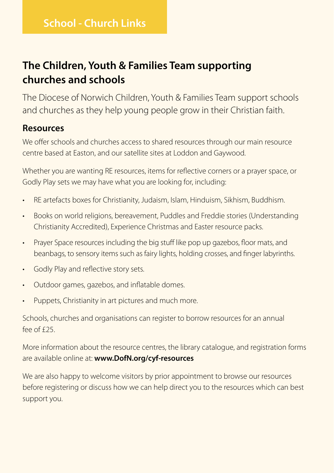#### **The Children, Youth & Families Team supporting churches and schools**

The Diocese of Norwich Children, Youth & Families Team support schools and churches as they help young people grow in their Christian faith.

#### **Resources**

We offer schools and churches access to shared resources through our main resource centre based at Easton, and our satellite sites at Loddon and Gaywood.

Whether you are wanting RE resources, items for reflective corners or a prayer space, or Godly Play sets we may have what you are looking for, including:

- RE artefacts boxes for Christianity, Judaism, Islam, Hinduism, Sikhism, Buddhism.
- Books on world religions, bereavement, Puddles and Freddie stories (Understanding Christianity Accredited), Experience Christmas and Easter resource packs.
- Prayer Space resources including the big stuff like pop up gazebos, floor mats, and beanbags, to sensory items such as fairy lights, holding crosses, and finger labyrinths.
- Godly Play and reflective story sets.
- Outdoor games, gazebos, and inflatable domes.
- Puppets, Christianity in art pictures and much more.

Schools, churches and organisations can register to borrow resources for an annual  $f^{\rho}$ fee of  $f^{\rho}$ 

More information about the resource centres, the library catalogue, and registration forms are available online at: **www.DofN.org/cyf-resources** 

We are also happy to welcome visitors by prior appointment to browse our resources before registering or discuss how we can help direct you to the resources which can best support you.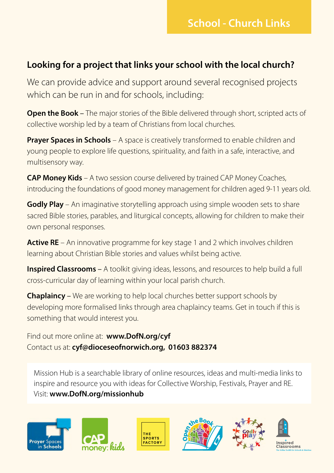#### **Looking for a project that links your school with the local church?**

We can provide advice and support around several recognised projects which can be run in and for schools, including:

**Open the Book –** The major stories of the Bible delivered through short, scripted acts of collective worship led by a team of Christians from local churches.

**Prayer Spaces in Schools** – A space is creatively transformed to enable children and young people to explore life questions, spirituality, and faith in a safe, interactive, and multisensory way.

**CAP Money Kids** – A two session course delivered by trained CAP Money Coaches, introducing the foundations of good money management for children aged 9-11 years old.

**Godly Play** – An imaginative storytelling approach using simple wooden sets to share sacred Bible stories, parables, and liturgical concepts, allowing for children to make their own personal responses.

**Active RE** – An innovative programme for key stage 1 and 2 which involves children learning about Christian Bible stories and values whilst being active.

**Inspired Classrooms** – A toolkit giving ideas, lessons, and resources to help build a full cross-curricular day of learning within your local parish church.

**Chaplaincy** – We are working to help local churches better support schools by developing more formalised links through area chaplaincy teams. Get in touch if this is something that would interest you.

Find out more online at: **www.DofN.org/cyf**  Contact us at: **cyf@dioceseofnorwich.org, 01603 882374**

Mission Hub is a searchable library of online resources, ideas and multi-media links to inspire and resource you with ideas for Collective Worship, Festivals, Prayer and RE. Visit: **www.DofN.org/missionhub**